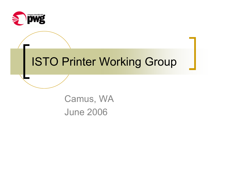

## ISTO Printer Working Group

Camus, WA June 2006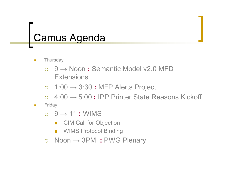### Camus Agenda

- $\overline{\phantom{a}}$ **Thursday** 
	- ${\color{black} \bigcirc}$  9 → Noon **:** Semantic Model v2.0 MFD **Extensions**
	- $\bigcirc$ 1:00 → 3:30 **:** MFP Alerts Project
	- ${\color{black} \bigcirc}$ 4:00 → 5:00 **:** IPP Printer State Reasons Kickoff
- $\blacksquare$ **Friday** 
	- { 9 → 11 **:** WIMS
		- Π CIM Call for Objection
		- π WIMS Protocol Binding
	- { Noon → 3PM **:** PWG Plenary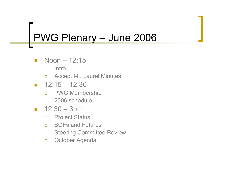### PWG Plenary – June 2006

- Noon 12:15
	- $\bigcap$ Intro
	- o Accept Mt. Laurel Minutes
- $-12:15 12:30$ 
	- $\overline{O}$ PWG Membership
	- o 2006 schedule
- $\mathcal{L}(\mathcal{A})$  12:30 – 3pm
	- $\overline{O}$ Project Status
	- $\bigcap$ BOFs and Futures
	- ${\circ}$ Steering Committee Review
	- $\circ$ October Agenda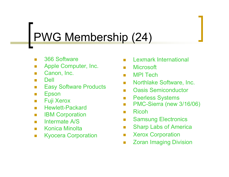## PWG Membership (24)

- $\mathcal{L}_{\mathcal{A}}$ 366 Software
- Π Apple Computer, Inc.
- Π Canon, Inc.
- Π Dell
- Π Easy Software Products
- Π Epson
- Π Fuji Xerox
- Π Hewlett-Packard
- Π IBM Corporation
- Intermate A/S
- Konica Minolta
- Kyocera Corporation
- П Lexmark International
- П **Microsoft**
- $\mathcal{L}^{\mathcal{L}}$ MPI Tech
- $\mathcal{N}(\mathcal{A})$ Northlake Software, Inc.
- $\mathcal{C}^{\mathcal{A}}$ Oasis Semiconductor
- $\mathcal{C}^{\mathcal{A}}$ Peerless Systems
- $\sim$ PMC-Sierra (new 3/16/06)
- $\mathcal{C}^{\mathcal{A}}$ Ricoh
- **The State** Samsung Electronics
- $\mathcal{C}^{\mathcal{A}}$ Sharp Labs of America
- T Xerox Corporation
- П Zoran Imaging Division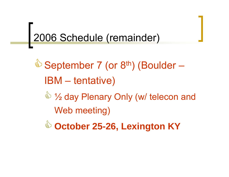## 2006 Schedule (remainder)

September 7 (or 8<sup>th</sup>) (Boulder – IBM – tentative)  $\stackrel{\triangle}{\longrightarrow}$  1/<sub>2</sub> day Plenary Only (w/ telecon and Web meeting)

es<br>S **October 25-26, Lexington KY**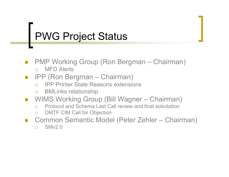## PWG Project Status

- PMP Working Group (Ron Bergman Chairman)
	- { MFD Alerts

### IPP (Ron Bergman – Chairman)

- ${\color{black} \bigcirc}$ IPP Printer State Reasons extensions
- ${\color{black} \bigcirc}$ BMLinks relationship
- $\mathbb{R}^n$  WIMS Working Group (Bill Wagner – Chairman)
	- ${\circ}$ Protocol and Schema Last Call review and final solicitation
	- ${\circ}$ DMTF CIM Call for Objection
- $\overline{\phantom{a}}$  Common Semantic Model (Peter Zehler – Chairman)
	- $\bigcap$ SMv2.0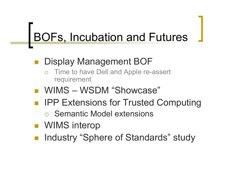# BOFs, Incubation and Futures

#### Display Management BOF

- ${\color{black} \bigcirc}$  Time to have Dell and Apple re-assert requirement
- WIMS WSDM "Showcase"
- IPP Extensions for Trusted Computing
	- **o** Semantic Model extensions
- **NIMS** interop
- Industry "Sphere of Standards" study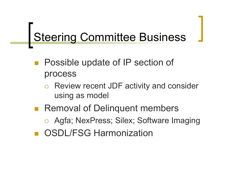## Steering Committee Business

- **Possible update of IP section of** process
	- ${\color{black} \bigcirc}$  Review recent JDF activity and consider using as model
- **Removal of Delinquent members** o Agfa; NexPress; Silex; Software Imaging OSDL/FSG Harmonization